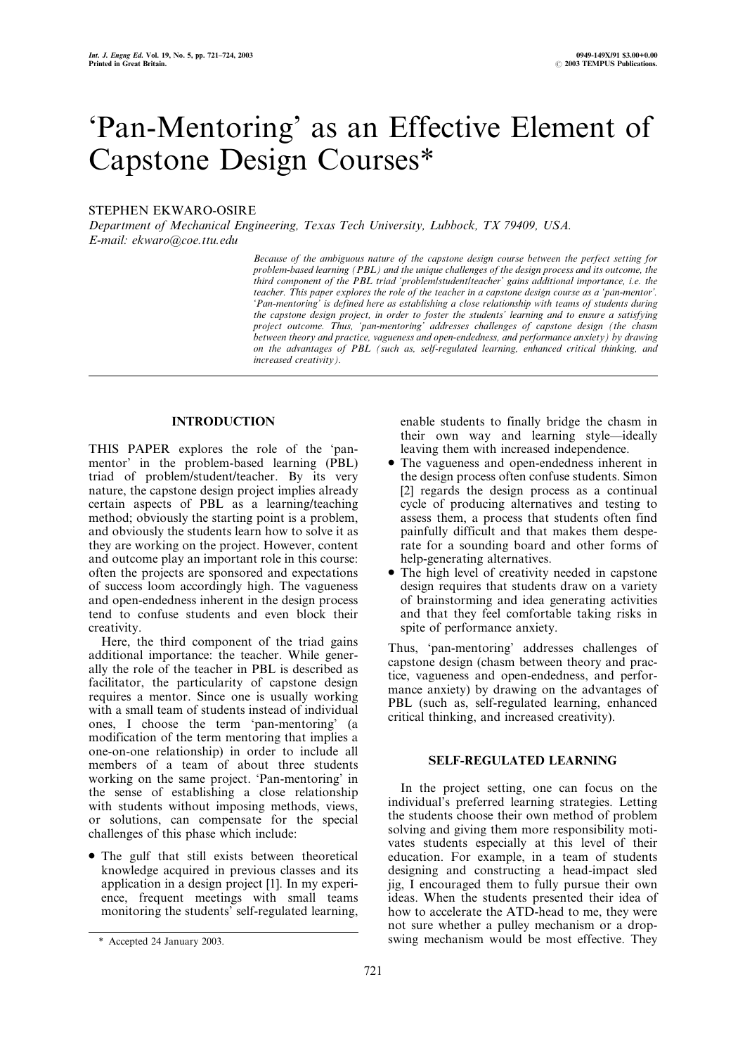# `Pan-Mentoring' as an Effective Element of Capstone Design Courses\*

# STEPHEN EKWARO-OSIRE

Department of Mechanical Engineering, Texas Tech University, Lubbock, TX 79409, USA. E-mail: ekwaro@coe.ttu.edu

> Because of the ambiguous nature of the capstone design course between the perfect setting for problem-based learning (PBL) and the unique challenges of the design process and its outcome, the third component of the PBL triad `problem/student/teacher' gains additional importance, i.e. the teacher. This paper explores the role of the teacher in a capstone design course as a `pan-mentor'. `Pan-mentoring' is defined here as establishing a close relationship with teams of students during the capstone design project, in order to foster the students' learning and to ensure a satisfying project outcome. Thus, 'pan-mentoring' addresses challenges of capstone design (the chasm between theory and practice, vagueness and open-endedness, and performance anxiety) by drawing on the advantages of PBL (such as, self-regulated learning, enhanced critical thinking, and increased creativity).

# INTRODUCTION

THIS PAPER explores the role of the `panmentor' in the problem-based learning (PBL) triad of problem/student/teacher. By its very nature, the capstone design project implies already certain aspects of PBL as a learning/teaching method; obviously the starting point is a problem, and obviously the students learn how to solve it as they are working on the project. However, content and outcome play an important role in this course: often the projects are sponsored and expectations of success loom accordingly high. The vagueness and open-endedness inherent in the design process tend to confuse students and even block their creativity.

Here, the third component of the triad gains additional importance: the teacher. While generally the role of the teacher in PBL is described as facilitator, the particularity of capstone design requires a mentor. Since one is usually working with a small team of students instead of individual ones, I choose the term `pan-mentoring' (a modification of the term mentoring that implies a one-on-one relationship) in order to include all members of a team of about three students working on the same project. `Pan-mentoring' in the sense of establishing a close relationship with students without imposing methods, views, or solutions, can compensate for the special challenges of this phase which include:

. The gulf that still exists between theoretical knowledge acquired in previous classes and its application in a design project [1]. In my experience, frequent meetings with small teams monitoring the students' self-regulated learning, enable students to finally bridge the chasm in their own way and learning style—ideally leaving them with increased independence.

- . The vagueness and open-endedness inherent in the design process often confuse students. Simon [2] regards the design process as a continual cycle of producing alternatives and testing to assess them, a process that students often find painfully difficult and that makes them desperate for a sounding board and other forms of help-generating alternatives.
- The high level of creativity needed in capstone design requires that students draw on a variety of brainstorming and idea generating activities and that they feel comfortable taking risks in spite of performance anxiety.

Thus, `pan-mentoring' addresses challenges of capstone design (chasm between theory and practice, vagueness and open-endedness, and performance anxiety) by drawing on the advantages of PBL (such as, self-regulated learning, enhanced critical thinking, and increased creativity).

## SELF-REGULATED LEARNING

In the project setting, one can focus on the individual's preferred learning strategies. Letting the students choose their own method of problem solving and giving them more responsibility motivates students especially at this level of their education. For example, in a team of students designing and constructing a head-impact sled jig, I encouraged them to fully pursue their own ideas. When the students presented their idea of how to accelerate the ATD-head to me, they were not sure whether a pulley mechanism or a drop- \* Accepted 24 January 2003. swing mechanism would be most effective. They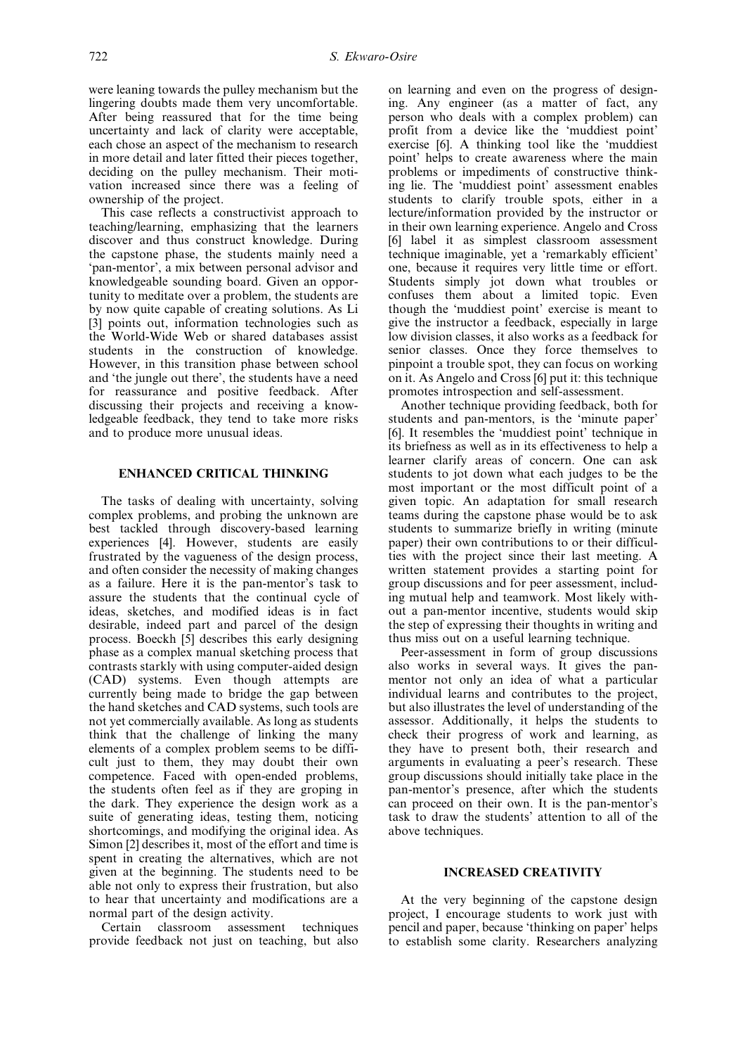were leaning towards the pulley mechanism but the lingering doubts made them very uncomfortable. After being reassured that for the time being uncertainty and lack of clarity were acceptable, each chose an aspect of the mechanism to research in more detail and later fitted their pieces together, deciding on the pulley mechanism. Their motivation increased since there was a feeling of ownership of the project.

This case reflects a constructivist approach to teaching/learning, emphasizing that the learners discover and thus construct knowledge. During the capstone phase, the students mainly need a `pan-mentor', a mix between personal advisor and knowledgeable sounding board. Given an opportunity to meditate over a problem, the students are by now quite capable of creating solutions. As Li [3] points out, information technologies such as the World-Wide Web or shared databases assist students in the construction of knowledge. However, in this transition phase between school and `the jungle out there', the students have a need for reassurance and positive feedback. After discussing their projects and receiving a knowledgeable feedback, they tend to take more risks and to produce more unusual ideas.

## ENHANCED CRITICAL THINKING

The tasks of dealing with uncertainty, solving complex problems, and probing the unknown are best tackled through discovery-based learning experiences [4]. However, students are easily frustrated by the vagueness of the design process, and often consider the necessity of making changes as a failure. Here it is the pan-mentor's task to assure the students that the continual cycle of ideas, sketches, and modified ideas is in fact desirable, indeed part and parcel of the design process. Boeckh [5] describes this early designing phase as a complex manual sketching process that contrasts starkly with using computer-aided design (CAD) systems. Even though attempts are currently being made to bridge the gap between the hand sketches and CAD systems, such tools are not yet commercially available. As long as students think that the challenge of linking the many elements of a complex problem seems to be difficult just to them, they may doubt their own competence. Faced with open-ended problems, the students often feel as if they are groping in the dark. They experience the design work as a suite of generating ideas, testing them, noticing shortcomings, and modifying the original idea. As Simon [2] describes it, most of the effort and time is spent in creating the alternatives, which are not given at the beginning. The students need to be able not only to express their frustration, but also to hear that uncertainty and modifications are a normal part of the design activity.

Certain classroom assessment techniques provide feedback not just on teaching, but also on learning and even on the progress of designing. Any engineer (as a matter of fact, any person who deals with a complex problem) can profit from a device like the `muddiest point' exercise [6]. A thinking tool like the `muddiest point' helps to create awareness where the main problems or impediments of constructive thinking lie. The `muddiest point' assessment enables students to clarify trouble spots, either in a lecture/information provided by the instructor or in their own learning experience. Angelo and Cross [6] label it as simplest classroom assessment technique imaginable, yet a `remarkably efficient' one, because it requires very little time or effort. Students simply jot down what troubles or confuses them about a limited topic. Even though the `muddiest point' exercise is meant to give the instructor a feedback, especially in large low division classes, it also works as a feedback for senior classes. Once they force themselves to pinpoint a trouble spot, they can focus on working on it. As Angelo and Cross [6] put it: this technique promotes introspection and self-assessment.

Another technique providing feedback, both for students and pan-mentors, is the `minute paper' [6]. It resembles the `muddiest point' technique in its briefness as well as in its effectiveness to help a learner clarify areas of concern. One can ask students to jot down what each judges to be the most important or the most difficult point of a given topic. An adaptation for small research teams during the capstone phase would be to ask students to summarize briefly in writing (minute paper) their own contributions to or their difficulties with the project since their last meeting. A written statement provides a starting point for group discussions and for peer assessment, including mutual help and teamwork. Most likely without a pan-mentor incentive, students would skip the step of expressing their thoughts in writing and thus miss out on a useful learning technique.

Peer-assessment in form of group discussions also works in several ways. It gives the panmentor not only an idea of what a particular individual learns and contributes to the project, but also illustrates the level of understanding of the assessor. Additionally, it helps the students to check their progress of work and learning, as they have to present both, their research and arguments in evaluating a peer's research. These group discussions should initially take place in the pan-mentor's presence, after which the students can proceed on their own. It is the pan-mentor's task to draw the students' attention to all of the above techniques.

#### INCREASED CREATIVITY

At the very beginning of the capstone design project, I encourage students to work just with pencil and paper, because `thinking on paper' helps to establish some clarity. Researchers analyzing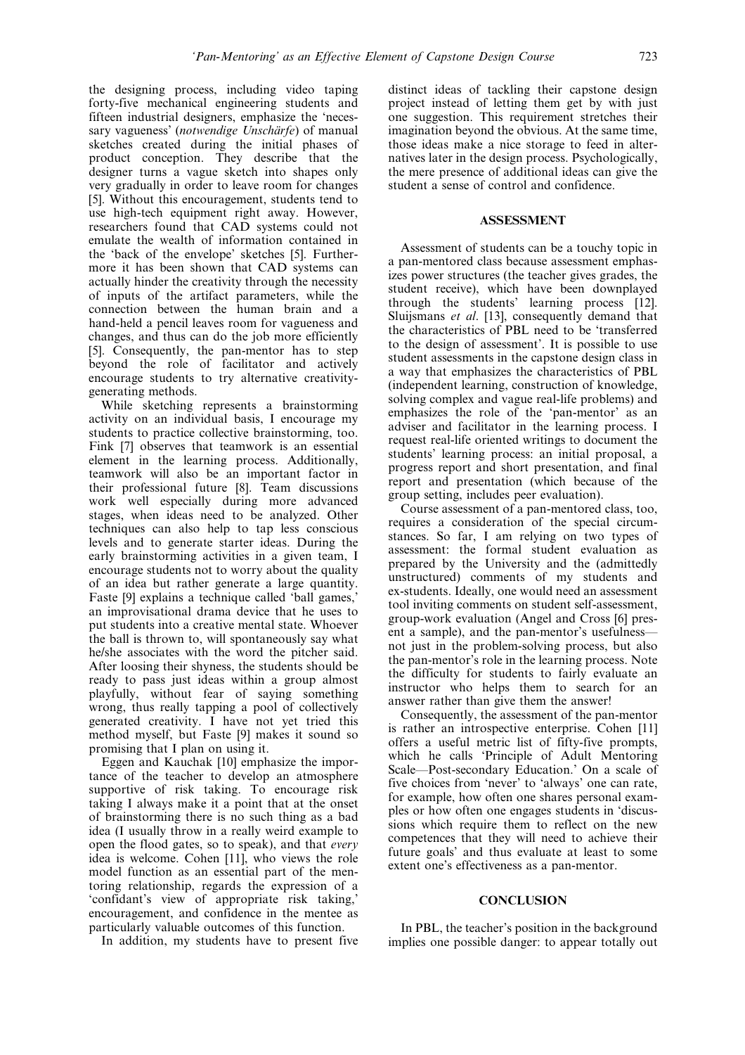the designing process, including video taping forty-five mechanical engineering students and fifteen industrial designers, emphasize the `necessary vagueness' (notwendige Unschärfe) of manual sketches created during the initial phases of product conception. They describe that the designer turns a vague sketch into shapes only very gradually in order to leave room for changes [5]. Without this encouragement, students tend to use high-tech equipment right away. However, researchers found that CAD systems could not emulate the wealth of information contained in the `back of the envelope' sketches [5]. Furthermore it has been shown that CAD systems can actually hinder the creativity through the necessity of inputs of the artifact parameters, while the connection between the human brain and a hand-held a pencil leaves room for vagueness and changes, and thus can do the job more efficiently [5]. Consequently, the pan-mentor has to step beyond the role of facilitator and actively encourage students to try alternative creativitygenerating methods.

While sketching represents a brainstorming activity on an individual basis, I encourage my students to practice collective brainstorming, too. Fink [7] observes that teamwork is an essential element in the learning process. Additionally, teamwork will also be an important factor in their professional future [8]. Team discussions work well especially during more advanced stages, when ideas need to be analyzed. Other techniques can also help to tap less conscious levels and to generate starter ideas. During the early brainstorming activities in a given team, I encourage students not to worry about the quality of an idea but rather generate a large quantity. Faste [9] explains a technique called 'ball games,' an improvisational drama device that he uses to put students into a creative mental state. Whoever the ball is thrown to, will spontaneously say what he/she associates with the word the pitcher said. After loosing their shyness, the students should be ready to pass just ideas within a group almost playfully, without fear of saying something wrong, thus really tapping a pool of collectively generated creativity. I have not yet tried this method myself, but Faste [9] makes it sound so promising that I plan on using it.

Eggen and Kauchak [10] emphasize the importance of the teacher to develop an atmosphere supportive of risk taking. To encourage risk taking I always make it a point that at the onset of brainstorming there is no such thing as a bad idea (I usually throw in a really weird example to open the flood gates, so to speak), and that every idea is welcome. Cohen [11], who views the role model function as an essential part of the mentoring relationship, regards the expression of a `confidant's view of appropriate risk taking,' encouragement, and confidence in the mentee as particularly valuable outcomes of this function.

In addition, my students have to present five

distinct ideas of tackling their capstone design project instead of letting them get by with just one suggestion. This requirement stretches their imagination beyond the obvious. At the same time, those ideas make a nice storage to feed in alternatives later in the design process. Psychologically, the mere presence of additional ideas can give the student a sense of control and confidence.

## ASSESSMENT

Assessment of students can be a touchy topic in a pan-mentored class because assessment emphasizes power structures (the teacher gives grades, the student receive), which have been downplayed through the students' learning process [12]. Sluijsmans et al. [13], consequently demand that the characteristics of PBL need to be `transferred to the design of assessment'. It is possible to use student assessments in the capstone design class in a way that emphasizes the characteristics of PBL (independent learning, construction of knowledge, solving complex and vague real-life problems) and emphasizes the role of the `pan-mentor' as an adviser and facilitator in the learning process. I request real-life oriented writings to document the students' learning process: an initial proposal, a progress report and short presentation, and final report and presentation (which because of the group setting, includes peer evaluation).

Course assessment of a pan-mentored class, too, requires a consideration of the special circumstances. So far, I am relying on two types of assessment: the formal student evaluation as prepared by the University and the (admittedly unstructured) comments of my students and ex-students. Ideally, one would need an assessment tool inviting comments on student self-assessment, group-work evaluation (Angel and Cross [6] present a sample), and the pan-mentor's usefulness– not just in the problem-solving process, but also the pan-mentor's role in the learning process. Note the difficulty for students to fairly evaluate an instructor who helps them to search for an answer rather than give them the answer!

Consequently, the assessment of the pan-mentor is rather an introspective enterprise. Cohen [11] offers a useful metric list of fifty-five prompts, which he calls 'Principle of Adult Mentoring Scale—Post-secondary Education.' On a scale of five choices from `never' to `always' one can rate, for example, how often one shares personal examples or how often one engages students in `discussions which require them to reflect on the new competences that they will need to achieve their future goals' and thus evaluate at least to some extent one's effectiveness as a pan-mentor.

### **CONCLUSION**

In PBL, the teacher's position in the background implies one possible danger: to appear totally out